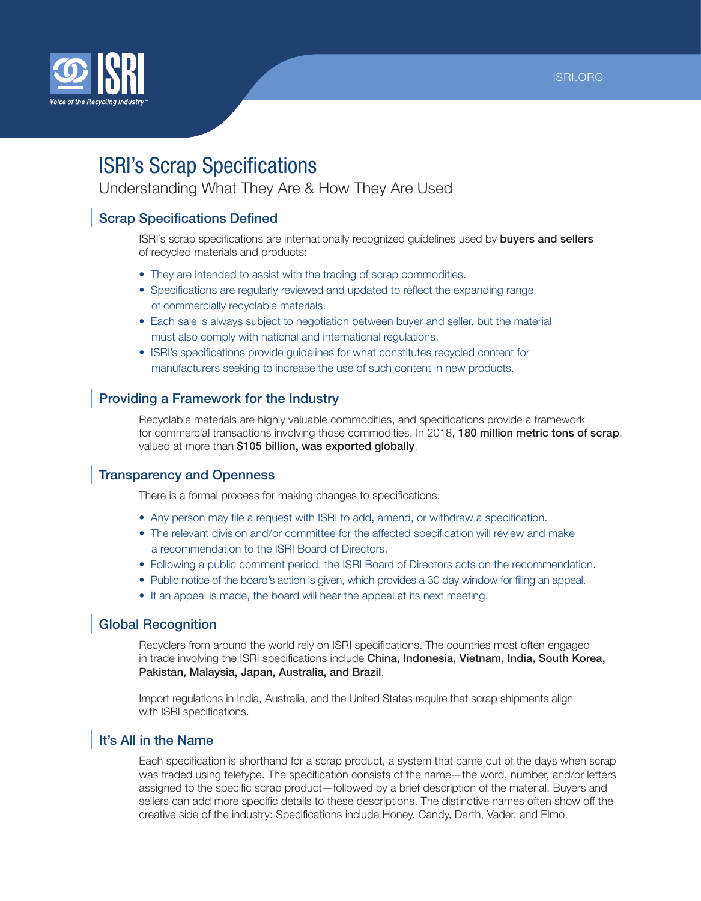

# ISRI's Scrap Specifications

Understanding What They Are & How They Are Used

## Scrap Specifications Defined

ISRI's scrap specifications are internationally recognized guidelines used by buyers and sellers of recycled materials and products:

- They are intended to assist with the trading of scrap commodities.
- Specifications are regularly reviewed and updated to reflect the expanding range of commercially recyclable materials.
- Each sale is always subject to negotiation between buyer and seller, but the material must also comply with national and international regulations.
- ISRI's specifications provide guidelines for what constitutes recycled content for manufacturers seeking to increase the use of such content in new products.

## Providing a Framework for the Industry

Recyclable materials are highly valuable commodities, and specifications provide a framework for commercial transactions involving those commodities. In 2018, 180 million metric tons of scrap, valued at more than \$105 billion, was exported globally.

#### Transparency and Openness

There is a formal process for making changes to specifications:

- Any person may file a request with ISRI to add, amend, or withdraw a specification.
- The relevant division and/or committee for the affected specification will review and make a recommendation to the ISRI Board of Directors.
- Following a public comment period, the ISRI Board of Directors acts on the recommendation.
- Public notice of the board's action is given, which provides a 30 day window for filing an appeal.
- If an appeal is made, the board will hear the appeal at its next meeting.

#### Global Recognition

Recyclers from around the world rely on ISRI specifications. The countries most often engaged in trade involving the ISRI specifications include China, Indonesia, Vietnam, India, South Korea, Pakistan, Malaysia, Japan, Australia, and Brazil.

Import regulations in India, Australia, and the United States require that scrap shipments align with ISRI specifications.

#### It's All in the Name

Each specification is shorthand for a scrap product, a system that came out of the days when scrap was traded using teletype. The specification consists of the name—the word, number, and/or letters assigned to the specific scrap product—followed by a brief description of the material. Buyers and sellers can add more specific details to these descriptions. The distinctive names often show off the creative side of the industry: Specifications include Honey, Candy, Darth, Vader, and Elmo.